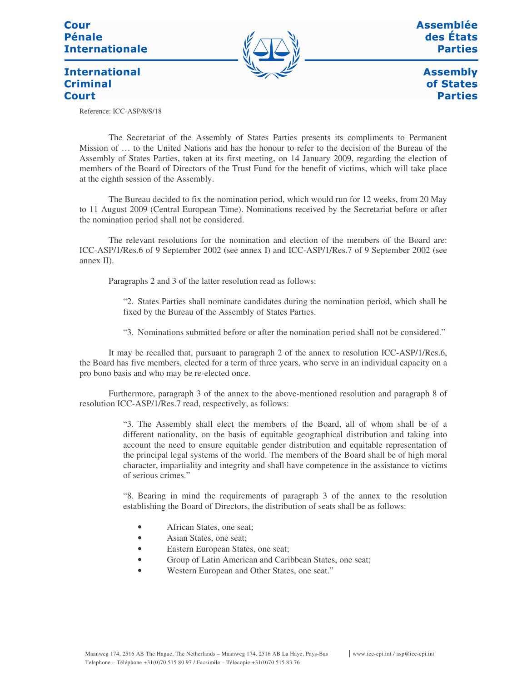# Cour **Pénale Internationale**



**Assemblée** des États **Parties** 

**International Criminal Court** 

**Assembly** of States **Parties** 

Reference: ICC-ASP/8/S/18

The Secretariat of the Assembly of States Parties presents its compliments to Permanent Mission of … to the United Nations and has the honour to refer to the decision of the Bureau of the Assembly of States Parties, taken at its first meeting, on 14 January 2009, regarding the election of members of the Board of Directors of the Trust Fund for the benefit of victims, which will take place at the eighth session of the Assembly.

The Bureau decided to fix the nomination period, which would run for 12 weeks, from 20 May to 11 August 2009 (Central European Time). Nominations received by the Secretariat before or after the nomination period shall not be considered.

The relevant resolutions for the nomination and election of the members of the Board are: ICC-ASP/1/Res.6 of 9 September 2002 (see annex I) and ICC-ASP/1/Res.7 of 9 September 2002 (see annex II).

Paragraphs 2 and 3 of the latter resolution read as follows:

"2. States Parties shall nominate candidates during the nomination period, which shall be fixed by the Bureau of the Assembly of States Parties.

"3. Nominations submitted before or after the nomination period shall not be considered."

It may be recalled that, pursuant to paragraph 2 of the annex to resolution ICC-ASP/1/Res.6, the Board has five members, elected for a term of three years, who serve in an individual capacity on a pro bono basis and who may be re-elected once.

Furthermore, paragraph 3 of the annex to the above-mentioned resolution and paragraph 8 of resolution ICC-ASP/1/Res.7 read, respectively, as follows:

> "3. The Assembly shall elect the members of the Board, all of whom shall be of a different nationality, on the basis of equitable geographical distribution and taking into account the need to ensure equitable gender distribution and equitable representation of the principal legal systems of the world. The members of the Board shall be of high moral character, impartiality and integrity and shall have competence in the assistance to victims of serious crimes."

> "8. Bearing in mind the requirements of paragraph 3 of the annex to the resolution establishing the Board of Directors, the distribution of seats shall be as follows:

- African States, one seat:
- Asian States, one seat;
- Eastern European States, one seat;
- Group of Latin American and Caribbean States, one seat;
- Western European and Other States, one seat."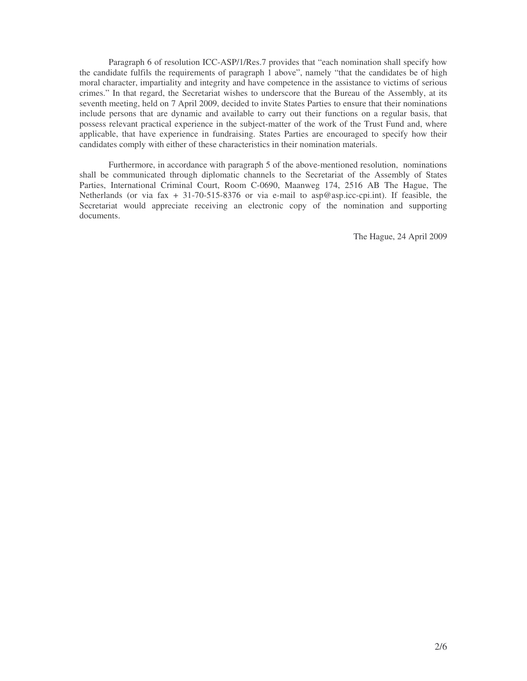Paragraph 6 of resolution ICC-ASP/1/Res.7 provides that "each nomination shall specify how the candidate fulfils the requirements of paragraph 1 above", namely "that the candidates be of high moral character, impartiality and integrity and have competence in the assistance to victims of serious crimes." In that regard, the Secretariat wishes to underscore that the Bureau of the Assembly, at its seventh meeting, held on 7 April 2009, decided to invite States Parties to ensure that their nominations include persons that are dynamic and available to carry out their functions on a regular basis, that possess relevant practical experience in the subject-matter of the work of the Trust Fund and, where applicable, that have experience in fundraising. States Parties are encouraged to specify how their candidates comply with either of these characteristics in their nomination materials.

Furthermore, in accordance with paragraph 5 of the above-mentioned resolution, nominations shall be communicated through diplomatic channels to the Secretariat of the Assembly of States Parties, International Criminal Court, Room C-0690, Maanweg 174, 2516 AB The Hague, The Netherlands (or via fax + 31-70-515-8376 or via e-mail to asp@asp.icc-cpi.int). If feasible, the Secretariat would appreciate receiving an electronic copy of the nomination and supporting documents.

The Hague, 24 April 2009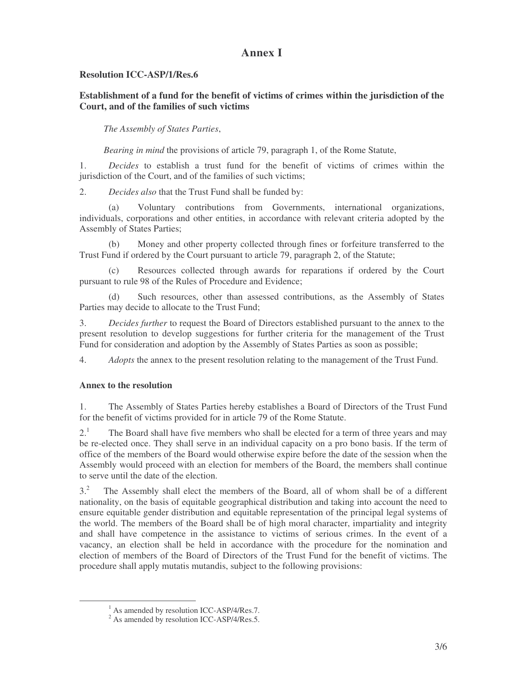# **Annex I**

# **Resolution ICC-ASP/1/Res.6**

# **Establishment of a fund for the benefit of victims of crimes within the jurisdiction of the Court, and of the families of such victims**

*The Assembly of States Parties*,

*Bearing in mind* the provisions of article 79, paragraph 1, of the Rome Statute,

1. *Decides* to establish a trust fund for the benefit of victims of crimes within the jurisdiction of the Court, and of the families of such victims;

2. *Decides also* that the Trust Fund shall be funded by:

(a) Voluntary contributions from Governments, international organizations, individuals, corporations and other entities, in accordance with relevant criteria adopted by the Assembly of States Parties;

(b) Money and other property collected through fines or forfeiture transferred to the Trust Fund if ordered by the Court pursuant to article 79, paragraph 2, of the Statute;

(c) Resources collected through awards for reparations if ordered by the Court pursuant to rule 98 of the Rules of Procedure and Evidence;

(d) Such resources, other than assessed contributions, as the Assembly of States Parties may decide to allocate to the Trust Fund;

3. *Decides further* to request the Board of Directors established pursuant to the annex to the present resolution to develop suggestions for further criteria for the management of the Trust Fund for consideration and adoption by the Assembly of States Parties as soon as possible;

4. *Adopts* the annex to the present resolution relating to the management of the Trust Fund.

# **Annex to the resolution**

1. The Assembly of States Parties hereby establishes a Board of Directors of the Trust Fund for the benefit of victims provided for in article 79 of the Rome Statute.

 $2^1$ <sup>1</sup> The Board shall have five members who shall be elected for a term of three years and may be re-elected once. They shall serve in an individual capacity on a pro bono basis. If the term of office of the members of the Board would otherwise expire before the date of the session when the Assembly would proceed with an election for members of the Board, the members shall continue to serve until the date of the election.

3. <sup>2</sup> The Assembly shall elect the members of the Board, all of whom shall be of a different nationality, on the basis of equitable geographical distribution and taking into account the need to ensure equitable gender distribution and equitable representation of the principal legal systems of the world. The members of the Board shall be of high moral character, impartiality and integrity and shall have competence in the assistance to victims of serious crimes. In the event of a vacancy, an election shall be held in accordance with the procedure for the nomination and election of members of the Board of Directors of the Trust Fund for the benefit of victims. The procedure shall apply mutatis mutandis, subject to the following provisions:

<sup>&</sup>lt;sup>1</sup> As amended by resolution ICC-ASP/4/Res.7.

<sup>&</sup>lt;sup>2</sup> As amended by resolution ICC-ASP/4/Res.5.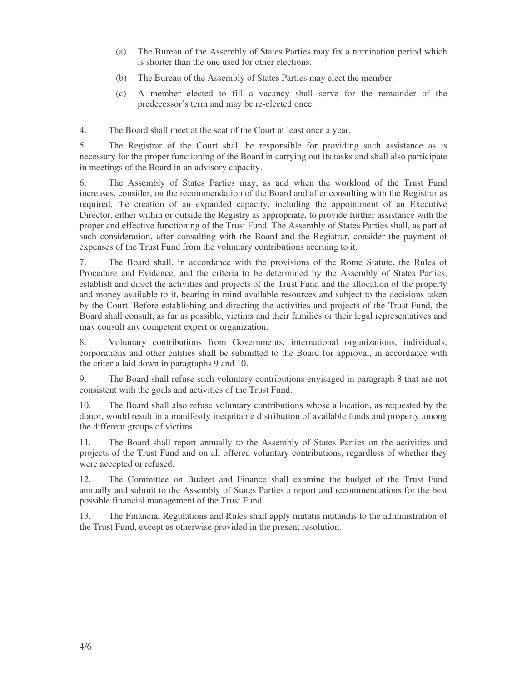- (a) The Bureau of the Assembly of States Parties may fix a nomination period which is shorter than the one used for other elections.
- (b) The Bureau of the Assembly of States Parties may elect the member.
- (c) A member elected to fill a vacancy shall serve for the remainder of the predecessor's term and may be re-elected once.

4. The Board shall meet at the seat of the Court at least once a year.

5. The Registrar of the Court shall be responsible for providing such assistance as is necessary for the proper functioning of the Board in carrying out its tasks and shall also participate in meetings of the Board in an advisory capacity.

6. The Assembly of States Parties may, as and when the workload of the Trust Fund increases, consider, on the recommendation of the Board and after consulting with the Registrar as required, the creation of an expanded capacity, including the appointment of an Executive Director, either within or outside the Registry as appropriate, to provide further assistance with the proper and effective functioning of the Trust Fund. The Assembly of States Parties shall, as part of such consideration, after consulting with the Board and the Registrar, consider the payment of expenses of the Trust Fund from the voluntary contributions accruing to it.

7. The Board shall, in accordance with the provisions of the Rome Statute, the Rules of Procedure and Evidence, and the criteria to be determined by the Assembly of States Parties, establish and direct the activities and projects of the Trust Fund and the allocation of the property and money available to it, bearing in mind available resources and subject to the decisions taken by the Court. Before establishing and directing the activities and projects of the Trust Fund, the Board shall consult, as far as possible, victims and their families or their legal representatives and may consult any competent expert or organization.

8. Voluntary contributions from Governments, international organizations, individuals, corporations and other entities shall be submitted to the Board for approval, in accordance with the criteria laid down in paragraphs 9 and 10.

9. The Board shall refuse such voluntary contributions envisaged in paragraph 8 that are not consistent with the goals and activities of the Trust Fund.

10. The Board shall also refuse voluntary contributions whose allocation, as requested by the donor, would result in a manifestly inequitable distribution of available funds and property among the different groups of victims.

11. The Board shall report annually to the Assembly of States Parties on the activities and projects of the Trust Fund and on all offered voluntary contributions, regardless of whether they were accepted or refused.

12. The Committee on Budget and Finance shall examine the budget of the Trust Fund annually and submit to the Assembly of States Parties a report and recommendations for the best possible financial management of the Trust Fund.

13. The Financial Regulations and Rules shall apply mutatis mutandis to the administration of the Trust Fund, except as otherwise provided in the present resolution.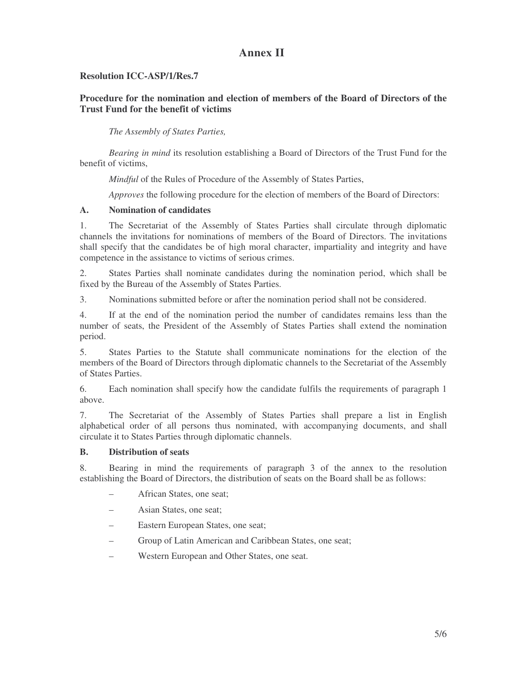# **Annex II**

### **Resolution ICC-ASP/1/Res.7**

# **Procedure for the nomination and election of members of the Board of Directors of the Trust Fund for the benefit of victims**

*The Assembly of States Parties,*

*Bearing in mind* its resolution establishing a Board of Directors of the Trust Fund for the benefit of victims,

*Mindful* of the Rules of Procedure of the Assembly of States Parties,

*Approves* the following procedure for the election of members of the Board of Directors:

#### **A. Nomination of candidates**

1. The Secretariat of the Assembly of States Parties shall circulate through diplomatic channels the invitations for nominations of members of the Board of Directors. The invitations shall specify that the candidates be of high moral character, impartiality and integrity and have competence in the assistance to victims of serious crimes.

2. States Parties shall nominate candidates during the nomination period, which shall be fixed by the Bureau of the Assembly of States Parties.

3. Nominations submitted before or after the nomination period shall not be considered.

4. If at the end of the nomination period the number of candidates remains less than the number of seats, the President of the Assembly of States Parties shall extend the nomination period.

5. States Parties to the Statute shall communicate nominations for the election of the members of the Board of Directors through diplomatic channels to the Secretariat of the Assembly of States Parties.

6. Each nomination shall specify how the candidate fulfils the requirements of paragraph 1 above.

7. The Secretariat of the Assembly of States Parties shall prepare a list in English alphabetical order of all persons thus nominated, with accompanying documents, and shall circulate it to States Parties through diplomatic channels.

#### **B. Distribution of seats**

8. Bearing in mind the requirements of paragraph 3 of the annex to the resolution establishing the Board of Directors, the distribution of seats on the Board shall be as follows:

- African States, one seat;
- Asian States, one seat;
- Eastern European States, one seat;
- Group of Latin American and Caribbean States, one seat;
- Western European and Other States, one seat.